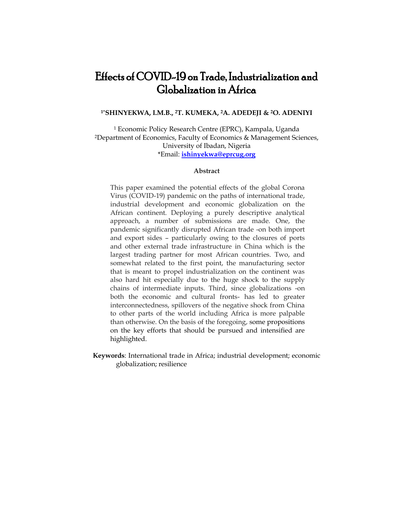# Effects of COVID-19 on Trade, Industrialization and Globalization in Africa

#### **1\*SHINYEKWA, I.M.B., <sup>2</sup>T. KUMEKA, 2A. ADEDEJI & <sup>2</sup>O. ADENIYI**

<sup>1</sup> Economic Policy Research Centre (EPRC), Kampala, Uganda <sup>2</sup>Department of Economics, Faculty of Economics & Management Sciences, University of Ibadan, Nigeria \*Email: **[ishinyekwa@eprcug.org](mailto:ishinyekwa@eprcug.org)**

#### **Abstract**

This paper examined the potential effects of the global Corona Virus (COVID-19) pandemic on the paths of international trade, industrial development and economic globalization on the African continent. Deploying a purely descriptive analytical approach, a number of submissions are made. One, the pandemic significantly disrupted African trade -on both import and export sides – particularly owing to the closures of ports and other external trade infrastructure in China which is the largest trading partner for most African countries. Two, and somewhat related to the first point, the manufacturing sector that is meant to propel industrialization on the continent was also hard hit especially due to the huge shock to the supply chains of intermediate inputs. Third, since globalizations -on both the economic and cultural fronts- has led to greater interconnectedness, spillovers of the negative shock from China to other parts of the world including Africa is more palpable than otherwise. On the basis of the foregoing, some propositions on the key efforts that should be pursued and intensified are highlighted.

**Keywords**: International trade in Africa; industrial development; economic globalization; resilience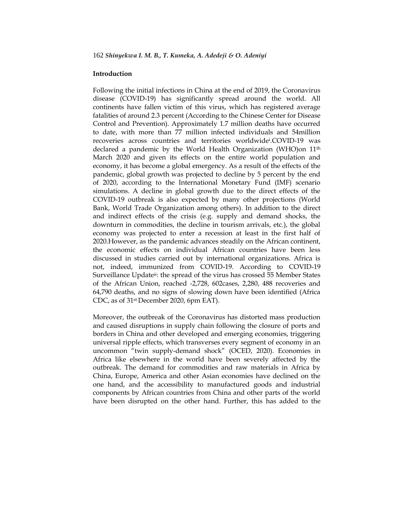### **Introduction**

Following the initial infections in China at the end of 2019, the Coronavirus disease (COVID-19) has significantly spread around the world. All continents have fallen victim of this virus, which has registered average fatalities of around 2.3 percent (According to the Chinese Center for Disease Control and Prevention). Approximately 1.7 million deaths have occurred to date, with more than 77 million infected individuals and 54million recoveries across countries and territories worldwide<sup>i</sup> .COVID-19 was declared a pandemic by the World Health Organization (WHO)on 11<sup>th</sup> March 2020 and given its effects on the entire world population and economy, it has become a global emergency. As a result of the effects of the pandemic, global growth was projected to decline by 5 percent by the end of 2020, according to the International Monetary Fund (IMF) scenario simulations. A decline in global growth due to the direct effects of the COVID-19 outbreak is also expected by many other projections (World Bank, World Trade Organization among others). In addition to the direct and indirect effects of the crisis (e.g. supply and demand shocks, the downturn in commodities, the decline in tourism arrivals, etc.), the global economy was projected to enter a recession at least in the first half of 2020.However, as the pandemic advances steadily on the African continent, the economic effects on individual African countries have been less discussed in studies carried out by international organizations. Africa is not, indeed, immunized from COVID-19. According to COVID-19 Surveillance Updateii: the spread of the virus has crossed 55 Member States of the African Union, reached -2,728, 602cases, 2,280, 488 recoveries and 64,790 deaths, and no signs of slowing down have been identified (Africa CDC, as of 31st December 2020, 6pm EAT).

Moreover, the outbreak of the Coronavirus has distorted mass production and caused disruptions in supply chain following the closure of ports and borders in China and other developed and emerging economies, triggering universal ripple effects, which transverses every segment of economy in an uncommon "twin supply-demand shock" (OCED, 2020). Economies in Africa like elsewhere in the world have been severely affected by the outbreak. The demand for commodities and raw materials in Africa by China, Europe, America and other Asian economies have declined on the one hand, and the accessibility to manufactured goods and industrial components by African countries from China and other parts of the world have been disrupted on the other hand. Further, this has added to the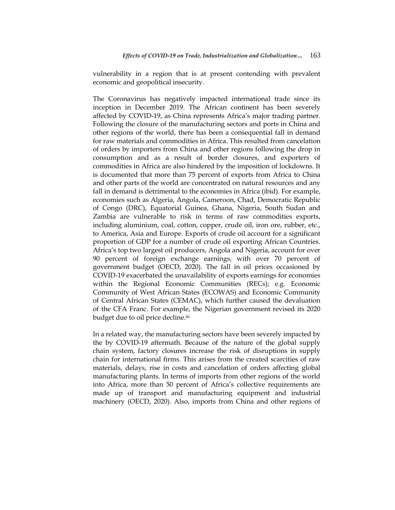vulnerability in a region that is at present contending with prevalent economic and geopolitical insecurity.

The Coronavirus has negatively impacted international trade since its inception in December 2019. The African continent has been severely affected by COVID-19, as China represents Africa"s major trading partner. Following the closure of the manufacturing sectors and ports in China and other regions of the world, there has been a consequential fall in demand for raw materials and commodities in Africa. This resulted from cancelation of orders by importers from China and other regions following the drop in consumption and as a result of border closures, and exporters of commodities in Africa are also hindered by the imposition of lockdowns. It is documented that more than 75 percent of exports from Africa to China and other parts of the world are concentrated on natural resources and any fall in demand is detrimental to the economies in Africa (ibid). For example, economies such as Algeria, Angola, Cameroon, Chad, Democratic Republic of Congo (DRC), Equatorial Guinea, Ghana, Nigeria, South Sudan and Zambia are vulnerable to risk in terms of raw commodities exports, including aluminium, coal, cotton, copper, crude oil, iron ore, rubber, etc., to America, Asia and Europe. Exports of crude oil account for a significant proportion of GDP for a number of crude oil exporting African Countries. Africa"s top two largest oil producers, Angola and Nigeria, account for over 90 percent of foreign exchange earnings, with over 70 percent of government budget (OECD, 2020). The fall in oil prices occasioned by COVID-19 exacerbated the unavailability of exports earnings for economies within the Regional Economic Communities (RECs); e.g. Economic Community of West African States (ECOWAS) and Economic Community of Central African States (CEMAC), which further caused the devaluation of the CFA Franc. For example, the Nigerian government revised its 2020 budget due to oil price decline.<sup>iii</sup>

In a related way, the manufacturing sectors have been severely impacted by the by COVID-19 aftermath. Because of the nature of the global supply chain system, factory closures increase the risk of disruptions in supply chain for international firms. This arises from the created scarcities of raw materials, delays, rise in costs and cancelation of orders affecting global manufacturing plants. In terms of imports from other regions of the world into Africa, more than 50 percent of Africa's collective requirements are made up of transport and manufacturing equipment and industrial machinery (OECD, 2020). Also, imports from China and other regions of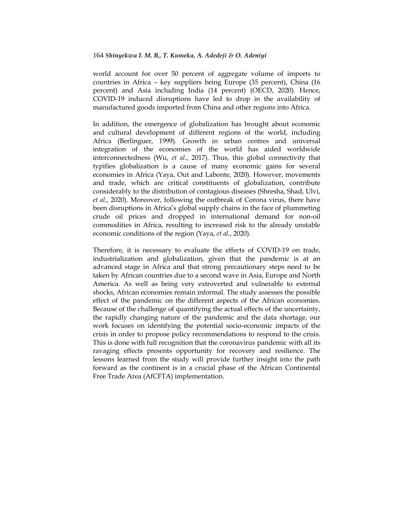world account for over 50 percent of aggregate volume of imports to countries in Africa – key suppliers being Europe (35 percent), China (16 percent) and Asia including India (14 percent) (OECD, 2020). Hence, COVID-19 induced disruptions have led to drop in the availability of manufactured goods imported from China and other regions into Africa.

In addition, the emergence of globalization has brought about economic and cultural development of different regions of the world, including Africa (Berlinguer, 1999). Growth in urban centres and universal integration of the economies of the world has aided worldwide interconnectedness (Wu, *et al*., 2017). Thus, this global connectivity that typifies globalization is a cause of many economic gains for several economies in Africa (Yaya, Out and Labonte, 2020). However, movements and trade, which are critical constituents of globalization, contribute considerably to the distribution of contagious diseases (Shresha, Shad, Ulvi, *et al*., 2020). Moreover, following the outbreak of Corona virus, there have been disruptions in Africa"s global supply chains in the face of plummeting crude oil prices and dropped in international demand for non-oil commodities in Africa, resulting to increased risk to the already unstable economic conditions of the region (Yaya, *et al*., 2020).

Therefore, it is necessary to evaluate the effects of COVID-19 on trade, industrialization and globalization, given that the pandemic is at an advanced stage in Africa and that strong precautionary steps need to be taken by African countries due to a second wave in Asia, Europe and North America. As well as being very extroverted and vulnerable to external shocks, African economies remain informal. The study assesses the possible effect of the pandemic on the different aspects of the African economies. Because of the challenge of quantifying the actual effects of the uncertainty, the rapidly changing nature of the pandemic and the data shortage, our work focuses on identifying the potential socio-economic impacts of the crisis in order to propose policy recommendations to respond to the crisis. This is done with full recognition that the coronavirus pandemic with all its ravaging effects presents opportunity for recovery and resilience. The lessons learned from the study will provide further insight into the path forward as the continent is in a crucial phase of the African Continental Free Trade Area (AfCFTA) implementation.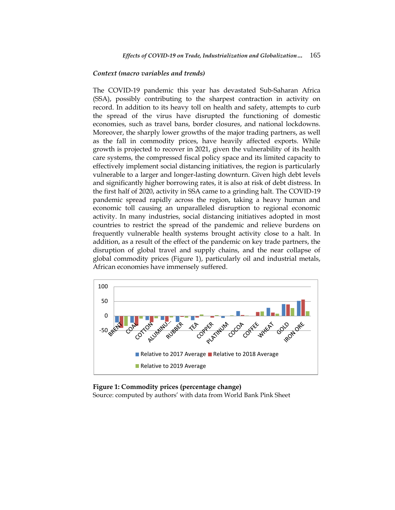#### *Context (macro variables and trends)*

The COVID-19 pandemic this year has devastated Sub-Saharan Africa (SSA), possibly contributing to the sharpest contraction in activity on record. In addition to its heavy toll on health and safety, attempts to curb the spread of the virus have disrupted the functioning of domestic economies, such as travel bans, border closures, and national lockdowns. Moreover, the sharply lower growths of the major trading partners, as well as the fall in commodity prices, have heavily affected exports. While growth is projected to recover in 2021, given the vulnerability of its health care systems, the compressed fiscal policy space and its limited capacity to effectively implement social distancing initiatives, the region is particularly vulnerable to a larger and longer-lasting downturn. Given high debt levels and significantly higher borrowing rates, it is also at risk of debt distress. In the first half of 2020, activity in SSA came to a grinding halt. The COVID-19 pandemic spread rapidly across the region, taking a heavy human and economic toll causing an unparalleled disruption to regional economic activity. In many industries, social distancing initiatives adopted in most countries to restrict the spread of the pandemic and relieve burdens on frequently vulnerable health systems brought activity close to a halt. In addition, as a result of the effect of the pandemic on key trade partners, the disruption of global travel and supply chains, and the near collapse of global commodity prices (Figure 1), particularly oil and industrial metals, African economies have immensely suffered.



**Figure 1: Commodity prices (percentage change)** Source: computed by authors' with data from World Bank Pink Sheet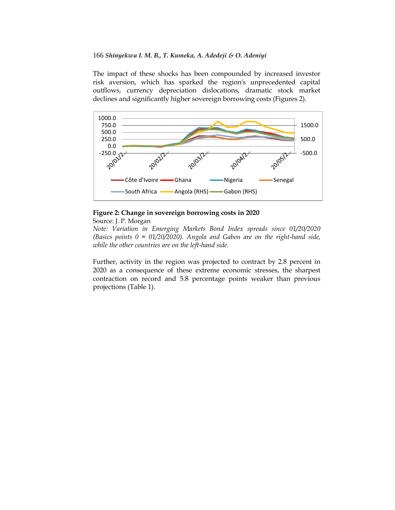The impact of these shocks has been compounded by increased investor risk aversion, which has sparked the region's unprecedented capital outflows, currency depreciation dislocations, dramatic stock market declines and significantly higher sovereign borrowing costs (Figures 2).



### **Figure 2: Change in sovereign borrowing costs in 2020** Source: J. P. Morgan

*Note: Variation in Emerging Markets Bond Index spreads since 01/20/2020 (Basics points 0 = 01/20/2020). Angola and Gabon are on the right-hand side, while the other countries are on the left-hand side.* 

Further, activity in the region was projected to contract by 2.8 percent in 2020 as a consequence of these extreme economic stresses, the sharpest contraction on record and 5.8 percentage points weaker than previous projections (Table 1).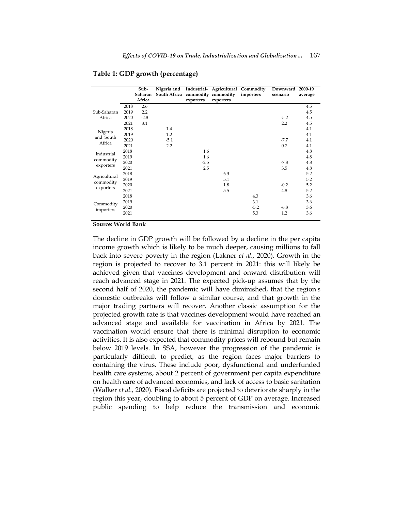|                                        |      | Sub-    |                                  |           | Nigeria and Industrial- Agricultural Commodity |           | Downward | 2000-19 |
|----------------------------------------|------|---------|----------------------------------|-----------|------------------------------------------------|-----------|----------|---------|
|                                        |      | Saharan | South Africa commodity commodity |           |                                                | importers | scenario | average |
|                                        |      | Africa  |                                  | exporters | exporters                                      |           |          |         |
| Sub-Saharan<br>Africa                  | 2018 | 2.6     |                                  |           |                                                |           |          | 4.5     |
|                                        | 2019 | 2.2     |                                  |           |                                                |           |          | 4.5     |
|                                        | 2020 | $-2.8$  |                                  |           |                                                |           | $-5.2$   | 4.5     |
|                                        | 2021 | 3.1     |                                  |           |                                                |           | 2.2      | 4.5     |
| Nigeria<br>and South<br>Africa         | 2018 |         | 1.4                              |           |                                                |           |          | 4.1     |
|                                        | 2019 |         | 1.2                              |           |                                                |           |          | 4.1     |
|                                        | 2020 |         | $-5.1$                           |           |                                                |           | $-7.7$   | 4.1     |
|                                        | 2021 |         | 2.2                              |           |                                                |           | 0.7      | 4.1     |
| Industrial<br>commodity<br>exporters   | 2018 |         |                                  | 1.6       |                                                |           |          | 4.8     |
|                                        | 2019 |         |                                  | 1.6       |                                                |           |          | 4.8     |
|                                        | 2020 |         |                                  | $-2.5$    |                                                |           | $-7.8$   | 4.8     |
|                                        | 2021 |         |                                  | 2.5       |                                                |           | 3.5      | 4.8     |
| Agricultural<br>commodity<br>exporters | 2018 |         |                                  |           | 6.3                                            |           |          | 5.2     |
|                                        | 2019 |         |                                  |           | 5.1                                            |           |          | 5.2     |
|                                        | 2020 |         |                                  |           | 1.8                                            |           | $-0.2$   | 5.2     |
|                                        | 2021 |         |                                  |           | 5.5                                            |           | 4.8      | 5.2     |
| Commodity<br>importers                 | 2018 |         |                                  |           |                                                | 4.3       |          | 3.6     |
|                                        | 2019 |         |                                  |           |                                                | 3.1       |          | 3.6     |
|                                        | 2020 |         |                                  |           |                                                | $-5.2$    | $-6.8$   | 3.6     |
|                                        | 2021 |         |                                  |           |                                                | 5.3       | 1.2      | 3.6     |

## **Table 1: GDP growth (percentage)**

**Source: World Bank**

The decline in GDP growth will be followed by a decline in the per capita income growth which is likely to be much deeper, causing millions to fall back into severe poverty in the region (Lakner *et al.,* 2020). Growth in the region is projected to recover to 3.1 percent in 2021: this will likely be achieved given that vaccines development and onward distribution will reach advanced stage in 2021. The expected pick-up assumes that by the second half of 2020, the pandemic will have diminished, that the region's domestic outbreaks will follow a similar course, and that growth in the major trading partners will recover. Another classic assumption for the projected growth rate is that vaccines development would have reached an advanced stage and available for vaccination in Africa by 2021. The vaccination would ensure that there is minimal disruption to economic activities. It is also expected that commodity prices will rebound but remain below 2019 levels. In SSA, however the progression of the pandemic is particularly difficult to predict, as the region faces major barriers to containing the virus. These include poor, dysfunctional and underfunded health care systems, about 2 percent of government per capita expenditure on health care of advanced economies, and lack of access to basic sanitation (Walker *et al.,* 2020). Fiscal deficits are projected to deteriorate sharply in the region this year, doubling to about 5 percent of GDP on average. Increased public spending to help reduce the transmission and economic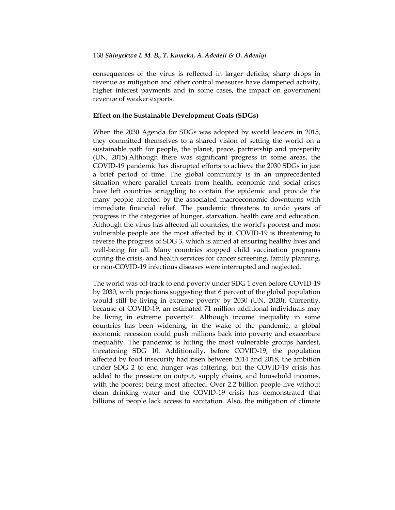consequences of the virus is reflected in larger deficits, sharp drops in revenue as mitigation and other control measures have dampened activity, higher interest payments and in some cases, the impact on government revenue of weaker exports.

# **Effect on the Sustainable Development Goals (SDGs)**

When the 2030 Agenda for SDGs was adopted by world leaders in 2015, they committed themselves to a shared vision of setting the world on a sustainable path for people, the planet, peace, partnership and prosperity (UN, 2015).Although there was significant progress in some areas, the COVID-19 pandemic has disrupted efforts to achieve the 2030 SDGs in just a brief period of time. The global community is in an unprecedented situation where parallel threats from health, economic and social crises have left countries struggling to contain the epidemic and provide the many people affected by the associated macroeconomic downturns with immediate financial relief. The pandemic threatens to undo years of progress in the categories of hunger, starvation, health care and education. Although the virus has affected all countries, the world's poorest and most vulnerable people are the most affected by it. COVID-19 is threatening to reverse the progress of SDG 3, which is aimed at ensuring healthy lives and well-being for all. Many countries stopped child vaccination programs during the crisis, and health services for cancer screening, family planning, or non-COVID-19 infectious diseases were interrupted and neglected.

The world was off track to end poverty under SDG 1 even before COVID-19 by 2030, with projections suggesting that 6 percent of the global population would still be living in extreme poverty by 2030 (UN, 2020). Currently, because of COVID-19, an estimated 71 million additional individuals may be living in extreme povertyiv. Although income inequality in some countries has been widening, in the wake of the pandemic, a global economic recession could push millions back into poverty and exacerbate inequality. The pandemic is hitting the most vulnerable groups hardest, threatening SDG 10. Additionally, before COVID-19, the population affected by food insecurity had risen between 2014 and 2018, the ambition under SDG 2 to end hunger was faltering, but the COVID-19 crisis has added to the pressure on output, supply chains, and household incomes, with the poorest being most affected. Over 2.2 billion people live without clean drinking water and the COVID-19 crisis has demonstrated that billions of people lack access to sanitation. Also, the mitigation of climate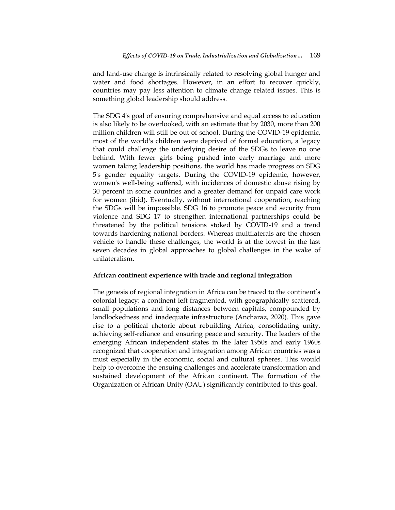and land-use change is intrinsically related to resolving global hunger and water and food shortages. However, in an effort to recover quickly, countries may pay less attention to climate change related issues. This is something global leadership should address.

The SDG 4's goal of ensuring comprehensive and equal access to education is also likely to be overlooked, with an estimate that by 2030, more than 200 million children will still be out of school. During the COVID-19 epidemic, most of the world's children were deprived of formal education, a legacy that could challenge the underlying desire of the SDGs to leave no one behind. With fewer girls being pushed into early marriage and more women taking leadership positions, the world has made progress on SDG 5's gender equality targets. During the COVID-19 epidemic, however, women's well-being suffered, with incidences of domestic abuse rising by 30 percent in some countries and a greater demand for unpaid care work for women (ibid). Eventually, without international cooperation, reaching the SDGs will be impossible. SDG 16 to promote peace and security from violence and SDG 17 to strengthen international partnerships could be threatened by the political tensions stoked by COVID-19 and a trend towards hardening national borders. Whereas multilaterals are the chosen vehicle to handle these challenges, the world is at the lowest in the last seven decades in global approaches to global challenges in the wake of unilateralism.

### **African continent experience with trade and regional integration**

The genesis of regional integration in Africa can be traced to the continent"s colonial legacy: a continent left fragmented, with geographically scattered, small populations and long distances between capitals, compounded by landlockedness and inadequate infrastructure (Ancharaz, 2020). This gave rise to a political rhetoric about rebuilding Africa, consolidating unity, achieving self-reliance and ensuring peace and security. The leaders of the emerging African independent states in the later 1950s and early 1960s recognized that cooperation and integration among African countries was a must especially in the economic, social and cultural spheres. This would help to overcome the ensuing challenges and accelerate transformation and sustained development of the African continent. The formation of the Organization of African Unity (OAU) significantly contributed to this goal.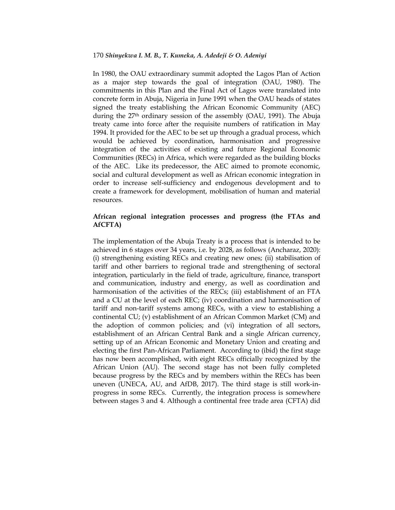In 1980, the OAU extraordinary summit adopted the Lagos Plan of Action as a major step towards the goal of integration (OAU, 1980). The commitments in this Plan and the Final Act of Lagos were translated into concrete form in Abuja, Nigeria in June 1991 when the OAU heads of states signed the treaty establishing the African Economic Community (AEC) during the  $27<sup>th</sup>$  ordinary session of the assembly (OAU, 1991). The Abuja treaty came into force after the requisite numbers of ratification in May 1994. It provided for the AEC to be set up through a gradual process, which would be achieved by coordination, harmonisation and progressive integration of the activities of existing and future Regional Economic Communities (RECs) in Africa, which were regarded as the building blocks of the AEC. Like its predecessor, the AEC aimed to promote economic, social and cultural development as well as African economic integration in order to increase self-sufficiency and endogenous development and to create a framework for development, mobilisation of human and material resources.

# **African regional integration processes and progress (the FTAs and AfCFTA)**

The implementation of the Abuja Treaty is a process that is intended to be achieved in 6 stages over 34 years, i.e. by 2028, as follows (Ancharaz, 2020): (i) strengthening existing RECs and creating new ones; (ii) stabilisation of tariff and other barriers to regional trade and strengthening of sectoral integration, particularly in the field of trade, agriculture, finance, transport and communication, industry and energy, as well as coordination and harmonisation of the activities of the RECs; (iii) establishment of an FTA and a CU at the level of each REC; (iv) coordination and harmonisation of tariff and non-tariff systems among RECs, with a view to establishing a continental CU; (v) establishment of an African Common Market (CM) and the adoption of common policies; and (vi) integration of all sectors, establishment of an African Central Bank and a single African currency, setting up of an African Economic and Monetary Union and creating and electing the first Pan-African Parliament. According to (ibid) the first stage has now been accomplished, with eight RECs officially recognized by the African Union (AU). The second stage has not been fully completed because progress by the RECs and by members within the RECs has been uneven (UNECA, AU, and AfDB, 2017). The third stage is still work-inprogress in some RECs. Currently, the integration process is somewhere between stages 3 and 4. Although a continental free trade area (CFTA) did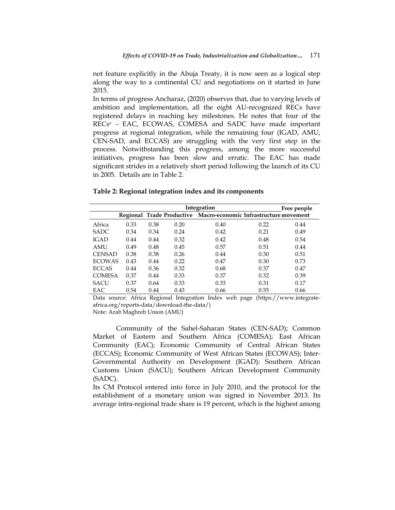not feature explicitly in the Abuja Treaty, it is now seen as a logical step along the way to a continental CU and negotiations on it started in June 2015.

In terms of progress Ancharaz, (2020) observes that, due to varying levels of ambition and implementation, all the eight AU-recognized RECs have registered delays in reaching key milestones. He notes that four of the RECs<sup>v</sup> - EAC, ECOWAS, COMESA and SADC have made important progress at regional integration, while the remaining four (IGAD, AMU, CEN-SAD, and ECCAS) are struggling with the very first step in the process. Notwithstanding this progress, among the more successful initiatives, progress has been slow and erratic. The EAC has made significant strides in a relatively short period following the launch of its CU in 2005. Details are in Table 2.

#### **Table 2: Regional integration index and its components**

|               |      | Free people |      |                                                                  |      |      |
|---------------|------|-------------|------|------------------------------------------------------------------|------|------|
|               |      |             |      | Regional Trade Productive Macro-economic Infrastructure movement |      |      |
| Africa        | 0.33 | 0.38        | 0.20 | 0.40                                                             | 0.22 | 0.44 |
| <b>SADC</b>   | 0.34 | 0.34        | 0.24 | 0.42                                                             | 0.21 | 0.49 |
| <b>IGAD</b>   | 0.44 | 0.44        | 0.32 | 0.42                                                             | 0.48 | 0.54 |
| <b>AMU</b>    | 0.49 | 0.48        | 0.45 | 0.57                                                             | 0.51 | 0.44 |
| <b>CENSAD</b> | 0.38 | 0.38        | 0.26 | 0.44                                                             | 0.30 | 0.51 |
| <b>ECOWAS</b> | 0.43 | 0.44        | 0.22 | 0.47                                                             | 0.30 | 0.73 |
| <b>ECCAS</b>  | 0.44 | 0.36        | 0.32 | 0.68                                                             | 0.37 | 0.47 |
| <b>COMESA</b> | 0.37 | 0.44        | 0.33 | 0.37                                                             | 0.32 | 0.39 |
| <b>SACU</b>   | 0.37 | 0.64        | 0.33 | 0.33                                                             | 0.31 | 0.17 |
| EAC           | 0.54 | 0.44        | 0.43 | 0.66                                                             | 0.55 | 0.66 |

Data source: Africa Regional Integration Index web page [\(https://www.integrate](https://www.integrate-africa.org/reports-data/download-the-data/)[africa.org/reports-data/download-the-data/\)](https://www.integrate-africa.org/reports-data/download-the-data/)

Note: Arab Maghreb Union (AMU)

Community of the Sahel-Saharan States (CEN-SAD); Common Market of Eastern and Southern Africa (COMESA); East African Community (EAC); Economic Community of Central African States (ECCAS); Economic Community of West African States (ECOWAS); Inter-Governmental Authority on Development (IGAD); Southern African Customs Union (SACU); Southern African Development Community (SADC).

Its CM Protocol entered into force in July 2010, and the protocol for the establishment of a monetary union was signed in November 2013. Its average intra-regional trade share is 19 percent, which is the highest among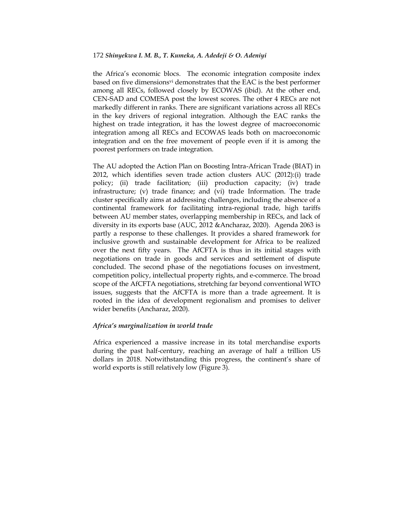the Africa"s economic blocs. The economic integration composite index based on five dimensionsvi demonstrates that the EAC is the best performer among all RECs, followed closely by ECOWAS (ibid). At the other end, CEN-SAD and COMESA post the lowest scores. The other 4 RECs are not markedly different in ranks. There are significant variations across all RECs in the key drivers of regional integration. Although the EAC ranks the highest on trade integration, it has the lowest degree of macroeconomic integration among all RECs and ECOWAS leads both on macroeconomic integration and on the free movement of people even if it is among the poorest performers on trade integration.

The AU adopted the Action Plan on Boosting Intra-African Trade (BIAT) in 2012, which identifies seven trade action clusters AUC (2012):(i) trade policy; (ii) trade facilitation; (iii) production capacity; (iv) trade infrastructure; (v) trade finance; and (vi) trade Information. The trade cluster specifically aims at addressing challenges, including the absence of a continental framework for facilitating intra-regional trade, high tariffs between AU member states, overlapping membership in RECs, and lack of diversity in its exports base (AUC, 2012 &Ancharaz, 2020). Agenda 2063 is partly a response to these challenges. It provides a shared framework for inclusive growth and sustainable development for Africa to be realized over the next fifty years. The AfCFTA is thus in its initial stages with negotiations on trade in goods and services and settlement of dispute concluded. The second phase of the negotiations focuses on investment, competition policy, intellectual property rights, and e-commerce. The broad scope of the AfCFTA negotiations, stretching far beyond conventional WTO issues, suggests that the AfCFTA is more than a trade agreement. It is rooted in the idea of development regionalism and promises to deliver wider benefits (Ancharaz, 2020).

# *Africa's marginalization in world trade*

Africa experienced a massive increase in its total merchandise exports during the past half-century, reaching an average of half a trillion US dollars in 2018. Notwithstanding this progress, the continent's share of world exports is still relatively low (Figure 3).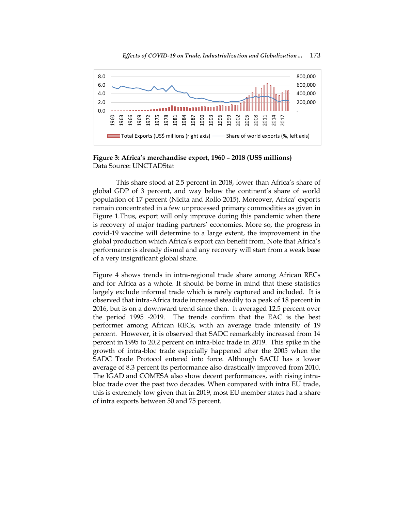

**Figure 3: Africa's merchandise export, 1960 – 2018 (US\$ millions)** Data Source: UNCTADStat

This share stood at 2.5 percent in 2018, lower than Africa's share of global GDP of 3 percent, and way below the continent's share of world population of 17 percent (Nicita and Rollo 2015). Moreover, Africa" exports remain concentrated in a few unprocessed primary commodities as given in Figure 1.Thus, export will only improve during this pandemic when there is recovery of major trading partners" economies. More so, the progress in covid-19 vaccine will determine to a large extent, the improvement in the global production which Africa"s export can benefit from. Note that Africa"s performance is already dismal and any recovery will start from a weak base of a very insignificant global share.

Figure 4 shows trends in intra-regional trade share among African RECs and for Africa as a whole. It should be borne in mind that these statistics largely exclude informal trade which is rarely captured and included. It is observed that intra-Africa trade increased steadily to a peak of 18 percent in 2016, but is on a downward trend since then. It averaged 12.5 percent over the period 1995 -2019. The trends confirm that the EAC is the best performer among African RECs, with an average trade intensity of 19 percent. However, it is observed that SADC remarkably increased from 14 percent in 1995 to 20.2 percent on intra-bloc trade in 2019. This spike in the growth of intra-bloc trade especially happened after the 2005 when the SADC Trade Protocol entered into force. Although SACU has a lower average of 8.3 percent its performance also drastically improved from 2010. The IGAD and COMESA also show decent performances, with rising intrabloc trade over the past two decades. When compared with intra EU trade, this is extremely low given that in 2019, most EU member states had a share of intra exports between 50 and 75 percent.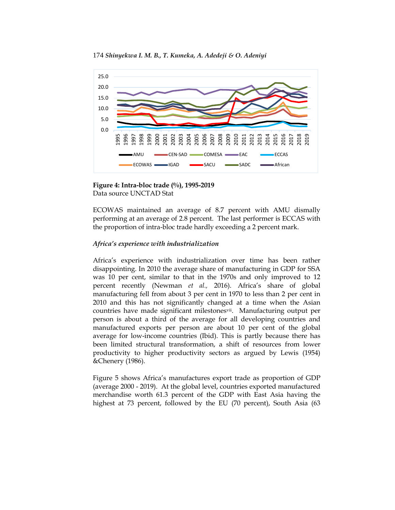



**Figure 4: Intra-bloc trade (%), 1995-2019** Data source UNCTAD Stat

ECOWAS maintained an average of 8.7 percent with AMU dismally performing at an average of 2.8 percent. The last performer is ECCAS with the proportion of intra-bloc trade hardly exceeding a 2 percent mark.

# *Africa's experience with industrialization*

Africa"s experience with industrialization over time has been rather disappointing. In 2010 the average share of manufacturing in GDP for SSA was 10 per cent, similar to that in the 1970s and only improved to 12 percent recently (Newman *et al.,* 2016). Africa"s share of global manufacturing fell from about 3 per cent in 1970 to less than 2 per cent in 2010 and this has not significantly changed at a time when the Asian countries have made significant milestonesvii. Manufacturing output per person is about a third of the average for all developing countries and manufactured exports per person are about 10 per cent of the global average for low-income countries (Ibid). This is partly because there has been limited structural transformation, a shift of resources from lower productivity to higher productivity sectors as argued by Lewis (1954) &Chenery (1986).

Figure 5 shows Africa"s manufactures export trade as proportion of GDP (average 2000 - 2019). At the global level, countries exported manufactured merchandise worth 61.3 percent of the GDP with East Asia having the highest at 73 percent, followed by the EU (70 percent), South Asia (63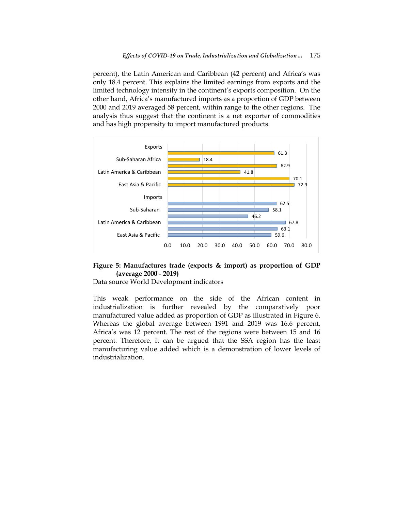percent), the Latin American and Caribbean (42 percent) and Africa's was only 18.4 percent. This explains the limited earnings from exports and the limited technology intensity in the continent"s exports composition. On the other hand, Africa"s manufactured imports as a proportion of GDP between 2000 and 2019 averaged 58 percent, within range to the other regions. The analysis thus suggest that the continent is a net exporter of commodities and has high propensity to import manufactured products.



# **Figure 5: Manufactures trade (exports & import) as proportion of GDP (average 2000 - 2019)**

Data source World Development indicators

This weak performance on the side of the African content in industrialization is further revealed by the comparatively poor manufactured value added as proportion of GDP as illustrated in Figure 6. Whereas the global average between 1991 and 2019 was 16.6 percent, Africa's was 12 percent. The rest of the regions were between 15 and 16 percent. Therefore, it can be argued that the SSA region has the least manufacturing value added which is a demonstration of lower levels of industrialization.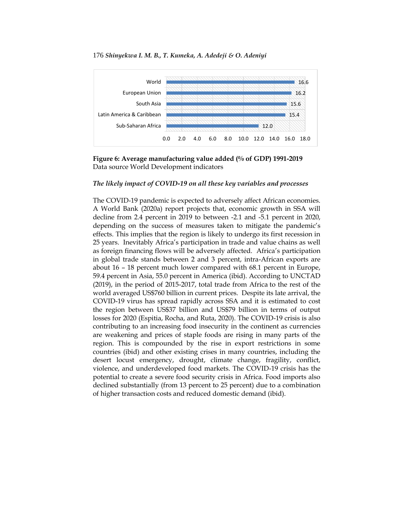



**Figure 6: Average manufacturing value added (% of GDP) 1991-2019** Data source World Development indicators

## *The likely impact of COVID-19 on all these key variables and processes*

The COVID-19 pandemic is expected to adversely affect African economies. A World Bank (2020a) report projects that, economic growth in SSA will decline from 2.4 percent in 2019 to between -2.1 and -5.1 percent in 2020, depending on the success of measures taken to mitigate the pandemic's effects. This implies that the region is likely to undergo its first recession in 25 years. Inevitably Africa"s participation in trade and value chains as well as foreign financing flows will be adversely affected. Africa"s participation in global trade stands between 2 and 3 percent, intra-African exports are about 16 – 18 percent much lower compared with 68.1 percent in Europe, 59.4 percent in Asia, 55.0 percent in America (ibid). According to [UNCTAD](https://unctad.org/en/PublicationsLibrary/aldcafrica2019_en.pdf)  [\(2019\),](https://unctad.org/en/PublicationsLibrary/aldcafrica2019_en.pdf) in the period of 2015-2017, total trade from Africa to the rest of the world averaged US\$760 billion in current prices. Despite its late arrival, the COVID-19 virus has spread rapidly across SSA and it is estimated to cost the region between US\$37 billion and US\$79 billion in terms of output losses for 2020 (Espitia, Rocha, and Ruta, 2020). The COVID-19 crisis is also contributing to an increasing food insecurity in the continent as currencies are weakening and prices of staple foods are rising in many parts of the region. This is compounded by the rise in export restrictions in some countries (ibid) and other existing crises in many countries, including the desert locust emergency, drought, climate change, fragility, conflict, violence, and underdeveloped food markets. The COVID-19 crisis has the potential to create a severe food security crisis in Africa. Food imports also declined substantially (from 13 percent to 25 percent) due to a combination of higher transaction costs and reduced domestic demand (ibid).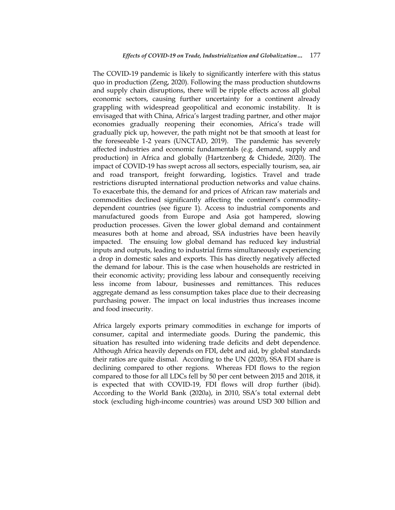The COVID-19 pandemic is likely to significantly interfere with this status quo in production (Zeng, 2020). Following the mass production shutdowns and supply chain disruptions, there will be ripple effects across all global economic sectors, causing further uncertainty for a continent already grappling with widespread geopolitical and economic instability. It is envisaged that with China, Africa's largest trading partner, and other major economies gradually reopening their economies, Africa"s trade will gradually pick up, however, the path might not be that smooth at least for the foreseeable 1-2 years [\(UNCTAD, 2019\).](https://unctad.org/en/PublicationsLibrary/aldcafrica2019_en.pdf) The pandemic has severely affected industries and economic fundamentals (e.g. demand, supply and production) in Africa and globally (Hartzenberg & Chidede, 2020). The impact of COVID-19 has swept across all sectors, especially tourism, sea, air and road transport, freight forwarding, logistics. Travel and trade restrictions disrupted international production networks and value chains. To exacerbate this, the demand for and prices of African raw materials and commodities declined significantly affecting the continent's commoditydependent countries (see figure 1). Access to industrial components and manufactured goods from Europe and Asia got hampered, slowing production processes. Given the lower global demand and containment measures both at home and abroad, SSA industries have been heavily impacted. The ensuing low global demand has reduced key industrial inputs and outputs, leading to industrial firms simultaneously experiencing a drop in domestic sales and exports. This has directly negatively affected the demand for labour. This is the case when households are restricted in their economic activity; providing less labour and consequently receiving less income from labour, businesses and remittances. This reduces aggregate demand as less consumption takes place due to their decreasing purchasing power. The impact on local industries thus increases income and food insecurity.

Africa largely exports primary commodities in exchange for imports of consumer, capital and intermediate goods. During the pandemic, this situation has resulted into widening trade deficits and debt dependence. Although Africa heavily depends on FDI, debt and aid, by global standards their ratios are quite dismal. According to the UN (2020), SSA FDI share is declining compared to other regions. Whereas FDI flows to the region compared to those for all LDCs [fell by 50 per cent between 2015 and 2018,](http://unohrlls.org/custom-content/uploads/2020/04/English_SG-report.pdf) it is expected that with COVID-19, FDI flows will drop further (ibid). According to the World Bank (2020a), in 2010, SSA"s total external debt stock (excluding high-income countries) was around USD 300 billion and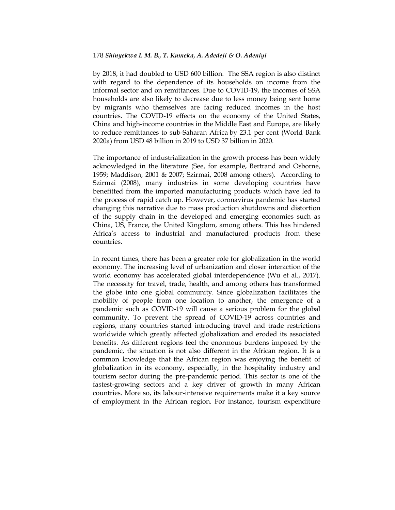by 2018, it had doubled to USD 600 billion. The SSA region is also distinct with regard to the dependence of its households on income from the informal sector and on remittances. Due to COVID-19, the incomes of SSA households are also likely to decrease due to less money being sent home by migrants who themselves are facing reduced incomes in the host countries. The COVID-19 effects on the economy of the United States, China and high-income countries in the Middle East and Europe, are likely to reduce remittances to sub-Saharan Africa [by 23.1 per cent](https://www.worldbank.org/en/news/press-release/2020/04/22/world-bank-predicts-sharpest-decline-of-remittances-in-recent-history) (World Bank 2020a) from USD 48 billion in 2019 to USD 37 billion in 2020.

The importance of industrialization in the growth process has been widely acknowledged in the literature (See, for example, Bertrand and Osborne, 1959; Maddison, 2001 & 2007; Szirmai, 2008 among others). According to Szirmai (2008), many industries in some developing countries have benefitted from the imported manufacturing products which have led to the process of rapid catch up. However, coronavirus pandemic has started changing this narrative due to mass production shutdowns and distortion of the supply chain in the developed and emerging economies such as China, US, France, the United Kingdom, among others. This has hindered Africa"s access to industrial and manufactured products from these countries.

In recent times, there has been a greater role for globalization in the world economy. The increasing level of urbanization and closer interaction of the world economy has accelerated global interdependence (Wu et al., 2017). The necessity for travel, trade, health, and among others has transformed the globe into one global community. Since globalization facilitates the mobility of people from one location to another, the emergence of a pandemic such as COVID-19 will cause a serious problem for the global community. To prevent the spread of COVID-19 across countries and regions, many countries started introducing travel and trade restrictions worldwide which greatly affected globalization and eroded its associated benefits. As different regions feel the enormous burdens imposed by the pandemic, the situation is not also different in the African region. It is a common knowledge that the African region was enjoying the benefit of globalization in its economy, especially, in the hospitality industry and tourism sector during the pre-pandemic period. This sector is one of the fastest-growing sectors and a key driver of growth in many African countries. More so, its labour-intensive requirements make it a key source of employment in the African region. For instance, tourism expenditure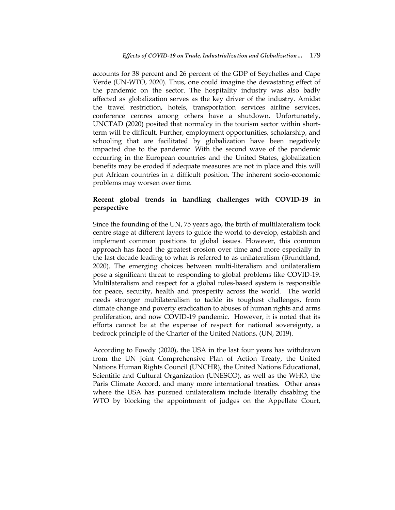accounts for 38 percent and 26 percent of the GDP of Seychelles and Cape Verde (UN-WTO, 2020). Thus, one could imagine the devastating effect of the pandemic on the sector. The hospitality industry was also badly affected as globalization serves as the key driver of the industry. Amidst the travel restriction, hotels, transportation services airline services, conference centres among others have a shutdown. Unfortunately, UNCTAD (2020) posited that normalcy in the tourism sector within shortterm will be difficult. Further, employment opportunities, scholarship, and schooling that are facilitated by globalization have been negatively impacted due to the pandemic. With the second wave of the pandemic occurring in the European countries and the United States, globalization benefits may be eroded if adequate measures are not in place and this will put African countries in a difficult position. The inherent socio-economic problems may worsen over time.

# **Recent global trends in handling challenges with COVID-19 in perspective**

Since the founding of the UN, 75 years ago, the birth of multilateralism took centre stage at different layers to guide the world to develop, establish and implement common positions to global issues. However, this common approach has faced the greatest erosion over time and more especially in the last decade leading to what is referred to as unilateralism (Brundtland, 2020). The emerging choices between multi-literalism and unilateralism pose a significant threat to responding to global problems like COVID-19. Multilateralism and respect for a global rules-based system is responsible for peace, security, health and prosperity across the world. The world needs stronger multilateralism to tackle its toughest challenges, from climate change and poverty eradication to abuses of human rights and arms proliferation, and now COVID-19 pandemic. However, it is noted that its efforts cannot be at the expense of respect for national sovereignty, a bedrock principle of the Charter of the United Nations, (UN, 2019).

According to Fowdy (2020), the USA in the last four years has withdrawn from the UN Joint Comprehensive Plan of Action Treaty, the United Nations Human Rights Council (UNCHR), the United Nations Educational, Scientific and Cultural Organization (UNESCO), as well as the WHO, the Paris Climate Accord, and many more international treaties. Other areas where the USA has pursued unilateralism include literally disabling the WTO by blocking the appointment of judges on the Appellate Court,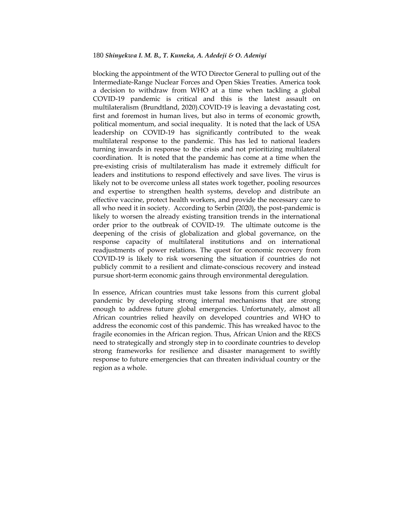blocking the appointment of the WTO Director General to pulling out of the Intermediate-Range Nuclear Forces and Open Skies Treaties. America took a decision to withdraw from WHO at a time when tackling a global COVID-19 pandemic is critical and this is the latest assault on multilateralism (Brundtland, 2020).COVID-19 is leaving a devastating cost, first and foremost in human lives, but also in terms of economic growth, political momentum, and social inequality. It is noted that the lack of USA leadership on COVID-19 has significantly contributed to the weak multilateral response to the pandemic. This has led to national leaders turning inwards in response to the crisis and not prioritizing multilateral coordination. It is noted that the pandemic has come at a time when the pre-existing crisis of multilateralism has made it extremely difficult for leaders and institutions to respond effectively and save lives. The virus is likely not to be overcome unless all states work together, pooling resources and expertise to strengthen health systems, develop and distribute an effective vaccine, protect health workers, and provide the necessary care to all who need it in society. According to Serbin (2020), the post-pandemic is likely to worsen the already existing transition trends in the international order prior to the outbreak of COVID-19. The ultimate outcome is the deepening of the crisis of globalization and global governance, on the response capacity of multilateral institutions and on international readjustments of power relations. The quest for economic recovery from COVID-19 is likely to risk worsening the situation if countries do not publicly commit to a resilient and climate-conscious recovery and instead pursue short-term economic gains through environmental deregulation.

In essence, African countries must take lessons from this current global pandemic by developing strong internal mechanisms that are strong enough to address future global emergencies. Unfortunately, almost all African countries relied heavily on developed countries and WHO to address the economic cost of this pandemic. This has wreaked havoc to the fragile economies in the African region. Thus, African Union and the RECS need to strategically and strongly step in to coordinate countries to develop strong frameworks for resilience and disaster management to swiftly response to future emergencies that can threaten individual country or the region as a whole.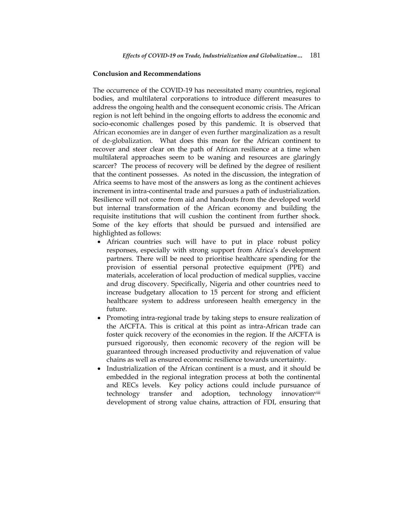#### **Conclusion and Recommendations**

The occurrence of the COVID-19 has necessitated many countries, regional bodies, and multilateral corporations to introduce different measures to address the ongoing health and the consequent economic crisis. The African region is not left behind in the ongoing efforts to address the economic and socio-economic challenges posed by this pandemic. It is observed that African economies are in danger of even further marginalization as a result of de-globalization. What does this mean for the African continent to recover and steer clear on the path of African resilience at a time when multilateral approaches seem to be waning and resources are glaringly scarcer? The process of recovery will be defined by the degree of resilient that the continent possesses. As noted in the discussion, the integration of Africa seems to have most of the answers as long as the continent achieves increment in intra-continental trade and pursues a path of industrialization. Resilience will not come from aid and handouts from the developed world but internal transformation of the African economy and building the requisite institutions that will cushion the continent from further shock. Some of the key efforts that should be pursued and intensified are highlighted as follows:

- African countries such will have to put in place robust policy responses, especially with strong support from Africa's development partners. There will be need to prioritise healthcare spending for the provision of essential personal protective equipment (PPE) and materials, acceleration of local production of medical supplies, vaccine and drug discovery. Specifically, Nigeria and other countries need to increase budgetary allocation to 15 percent for strong and efficient healthcare system to address unforeseen health emergency in the future.
- Promoting intra-regional trade by taking steps to ensure realization of the AfCFTA. This is critical at this point as intra-African trade can foster quick recovery of the economies in the region. If the AfCFTA is pursued rigorously, then economic recovery of the region will be guaranteed through increased productivity and rejuvenation of value chains as well as ensured economic resilience towards uncertainty.
- Industrialization of the African continent is a must, and it should be embedded in the regional integration process at both the continental and RECs levels. Key policy actions could include pursuance of technology transfer and adoption, technology innovation<sup>viii</sup> development of strong value chains, attraction of FDI, ensuring that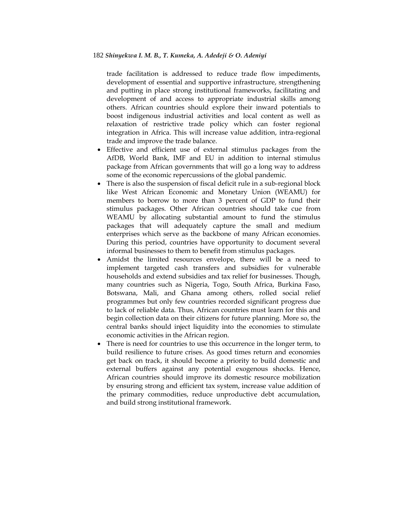trade facilitation is addressed to reduce trade flow impediments, development of essential and supportive infrastructure, strengthening and putting in place strong institutional frameworks, facilitating and development of and access to appropriate industrial skills among others. African countries should explore their inward potentials to boost indigenous industrial activities and local content as well as relaxation of restrictive trade policy which can foster regional integration in Africa. This will increase value addition, intra-regional trade and improve the trade balance.

- Effective and efficient use of external stimulus packages from the AfDB, World Bank, IMF and EU in addition to internal stimulus package from African governments that will go a long way to address some of the economic repercussions of the global pandemic.
- There is also the suspension of fiscal deficit rule in a sub-regional block like West African Economic and Monetary Union (WEAMU) for members to borrow to more than 3 percent of GDP to fund their stimulus packages. Other African countries should take cue from WEAMU by allocating substantial amount to fund the stimulus packages that will adequately capture the small and medium enterprises which serve as the backbone of many African economies. During this period, countries have opportunity to document several informal businesses to them to benefit from stimulus packages.
- Amidst the limited resources envelope, there will be a need to implement targeted cash transfers and subsidies for vulnerable households and extend subsidies and tax relief for businesses. Though, many countries such as Nigeria, Togo, South Africa, Burkina Faso, Botswana, Mali, and Ghana among others, rolled social relief programmes but only few countries recorded significant progress due to lack of reliable data. Thus, African countries must learn for this and begin collection data on their citizens for future planning. More so, the central banks should inject liquidity into the economies to stimulate economic activities in the African region.
- There is need for countries to use this occurrence in the longer term, to build resilience to future crises. As good times return and economies get back on track, it should become a priority to build domestic and external buffers against any potential exogenous shocks. Hence, African countries should improve its domestic resource mobilization by ensuring strong and efficient tax system, increase value addition of the primary commodities, reduce unproductive debt accumulation, and build strong institutional framework.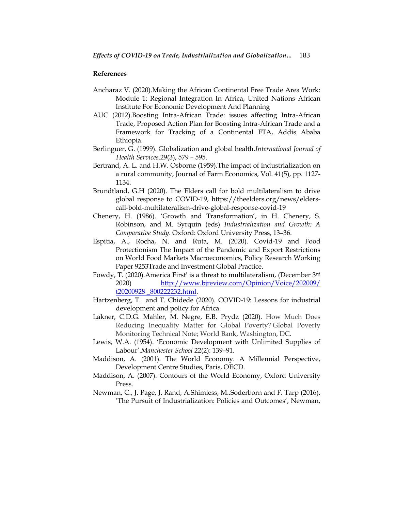## **References**

- Ancharaz V. (2020).Making the African Continental Free Trade Area Work: Module 1: Regional Integration In Africa, United Nations African Institute For Economic Development And Planning
- AUC (2012).Boosting Intra-African Trade: issues affecting Intra-African Trade, Proposed Action Plan for Boosting Intra-African Trade and a Framework for Tracking of a Continental FTA, Addis Ababa Ethiopia.
- Berlinguer, G. (1999). Globalization and global health.*International Journal of Health Services.*29(3), 579 – 595.
- Bertrand, A. L. and H.W. Osborne (1959).The impact of industrialization on a rural community, Journal of Farm Economics, Vol. 41(5), pp. 1127- 1134.
- Brundtland, G.H (2020). The Elders call for bold multilateralism to drive global response to COVID-19, https://theelders.org/news/elderscall-bold-multilateralism-drive-global-response-covid-19
- Chenery, H. (1986). "Growth and Transformation", in H. Chenery, S. Robinson, and M. Syrquin (eds) *Industrialization and Growth: A Comparative Study*. Oxford: Oxford University Press, 13–36.
- Espitia, A., Rocha, N. and Ruta, M. (2020). Covid-19 and Food Protectionism The Impact of the Pandemic and Export Restrictions on World Food Markets Macroeconomics, Policy Research Working Paper 9253Trade and Investment Global Practice.
- Fowdy, T. (2020).America First' is a threat to multilateralism, (December 3rd 2020) [http://www.bjreview.com/Opinion/Voice/202009/](http://www.bjreview.com/Opinion/Voice/202009/%20t20200928%20_800222232.html)  [t20200928 \\_800222232.html.](http://www.bjreview.com/Opinion/Voice/202009/%20t20200928%20_800222232.html)
- Hartzenberg, T. and T. Chidede (2020). COVID-19: Lessons for industrial development and policy for Africa.
- Lakner, C.D.G. Mahler, M. Negre, E.B. Prydz (2020). How Much Does Reducing Inequality Matter for Global Poverty? Global Poverty Monitoring Technical Note; World Bank, Washington, DC.
- Lewis, W.A. (1954). "Economic Development with Unlimited Supplies of Labour".*Manchester School* 22(2): 139–91.
- Maddison, A. (2001). The World Economy. A Millennial Perspective, Development Centre Studies, Paris, OECD.
- Maddison, A. (2007). Contours of the World Economy, Oxford University Press.
- Newman, C., J. Page, J. Rand, A.Shimless, M..Soderborn and F. Tarp (2016). "The Pursuit of Industrialization: Policies and Outcomes", Newman,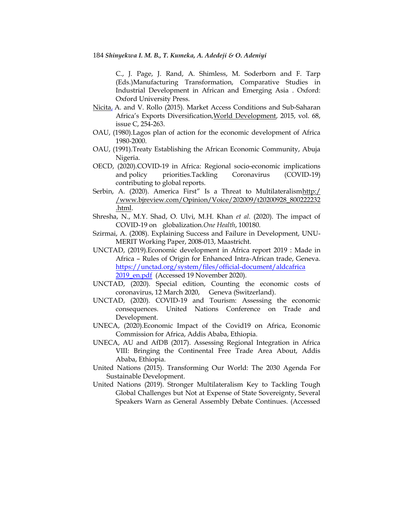C., J. Page, J. Rand, A. Shimless, M. Soderborn and F. Tarp (Eds.)Manufacturing Transformation, Comparative Studies in Industrial Development in African and Emerging Asia . Oxford: Oxford University Press.

- [Nicita,](https://econpapers.repec.org/RAS/pni41.htm) A. and V. Rollo (2015). Market Access Conditions and Sub-Saharan Africa"s Exports Diversification,[World Development,](https://econpapers.repec.org/article/eeewdevel/) 2015, vol. 68, issue C, 254-263.
- OAU, (1980).Lagos plan of action for the economic development of Africa 1980-2000.
- OAU, (1991).Treaty Establishing the African Economic Community, Abuja Nigeria.
- OECD, (2020).COVID-19 in Africa: Regional socio-economic implications and policy priorities.Tackling Coronavirus (COVID-19) contributing to global reports.
- Serbin, A. (2020). America First" Is a Threat to Multilateralismhttp:/ [/www.bjreview.com/Opinion/Voice/202009/t20200928\\_800222232](http://www.bjreview.com/Opinion/Voice/202009/t20200928_800222232.html) [.html.](http://www.bjreview.com/Opinion/Voice/202009/t20200928_800222232.html)
- Shresha, N., M.Y. Shad, O. Ulvi, M.H. Khan *et al.* (2020). The impact of COVID-19 on globalization.*One Health*, 100180.
- Szirmai, A. (2008). Explaining Success and Failure in Development, UNU-MERIT Working Paper, 2008-013, Maastricht.
- UNCTAD, (2019).Economic development in Africa report 2019 : Made in Africa – Rules of Origin for Enhanced Intra-African trade, Geneva. [https://unctad.org/system/files/official-document/aldcafrica](https://unctad.org/system/files/official-document/aldcafrica%202019_en.pdf)  [2019\\_en.pdf](https://unctad.org/system/files/official-document/aldcafrica%202019_en.pdf) (Accessed 19 November 2020).
- UNCTAD, (2020). Special edition, Counting the economic costs of coronavirus, 12 March 2020, Geneva (Switzerland).
- UNCTAD, (2020). COVID-19 and Tourism: Assessing the economic consequences. United Nations Conference on Trade and Development.
- UNECA, (2020).Economic Impact of the Covid19 on Africa, Economic Commission for Africa, Addis Ababa, Ethiopia.
- UNECA, AU and AfDB (2017). Assessing Regional Integration in Africa VIII: Bringing the Continental Free Trade Area About, Addis Ababa, Ethiopia.
- United Nations (2015). Transforming Our World: The 2030 Agenda For Sustainable Development.
- United Nations (2019). Stronger Multilateralism Key to Tackling Tough Global Challenges but Not at Expense of State Sovereignty, Several Speakers Warn as General Assembly Debate Continues. (Accessed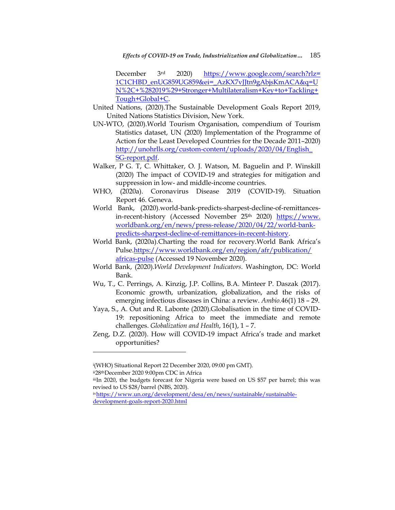*Effects of COVID-19 on Trade, Industrialization and Globalization…* 185

December 3rd 2020) [https://www.google.com/search?rlz=](https://www.google.com/search?rlz=%201C1CHBD_enUG859UG859&ei=_AzKX7vJJtn9gAbjsKmACA&q=UN%2C+%282019%29+Stronger+Multilateralism+Key+to+Tackling+Tough+Global+C)  [1C1CHBD\\_enUG859UG859&ei=\\_AzKX7vJJtn9gAbjsKmACA&q=U](https://www.google.com/search?rlz=%201C1CHBD_enUG859UG859&ei=_AzKX7vJJtn9gAbjsKmACA&q=UN%2C+%282019%29+Stronger+Multilateralism+Key+to+Tackling+Tough+Global+C) [N%2C+%282019%29+Stronger+Multilateralism+Key+to+Tackling+](https://www.google.com/search?rlz=%201C1CHBD_enUG859UG859&ei=_AzKX7vJJtn9gAbjsKmACA&q=UN%2C+%282019%29+Stronger+Multilateralism+Key+to+Tackling+Tough+Global+C) [Tough+Global+C.](https://www.google.com/search?rlz=%201C1CHBD_enUG859UG859&ei=_AzKX7vJJtn9gAbjsKmACA&q=UN%2C+%282019%29+Stronger+Multilateralism+Key+to+Tackling+Tough+Global+C)

- United Nations, (2020).The Sustainable Development Goals Report 2019, United Nations Statistics Division, New York.
- UN-WTO, (2020).World Tourism Organisation, compendium of Tourism Statistics dataset, UN (2020) Implementation of the Programme of Action for the Least Developed Countries for the Decade 2011–2020) [http://unohrlls.org/custom-content/uploads/2020/04/English\\_](http://unohrlls.org/custom-content/uploads/2020/04/English_%20SG-report.pdf)  [SG-report.pdf.](http://unohrlls.org/custom-content/uploads/2020/04/English_%20SG-report.pdf)
- Walker, P G. T, C. Whittaker, O. J. Watson, M. Baguelin and P. Winskill (2020) The impact of COVID-19 and strategies for mitigation and suppression in low- and middle-income countries.
- WHO, (2020a). Coronavirus Disease 2019 (COVID-19). Situation Report 46. Geneva.
- World Bank, (2020).world-bank-predicts-sharpest-decline-of-remittancesin-recent-history (Accessed November 25<sup>th</sup> 2020) https://www. worldbank.org/en/news/press-release/2020/04/22/world-bankpredicts-sharpest-decline-of-remittances-in-recent-history.
- World Bank, (2020a).Charting the road for recovery.World Bank Africa"s Pulse[.https://www.worldbank.org/en/region/afr/publication/](https://www.worldbank.org/en/region/afr/publication/%20africas-pulse)  [africas-pulse](https://www.worldbank.org/en/region/afr/publication/%20africas-pulse) (Accessed 19 November 2020).
- World Bank, (2020).*World Development Indicators*. Washington, DC: World Bank.
- Wu, T., C. Perrings, A. Kinzig, J.P. Collins, B.A. Minteer P. Daszak (2017). Economic growth, urbanization, globalization, and the risks of emerging infectious diseases in China: a review. *Ambio.*46(1) 18 – 29.
- Yaya, S., A. Out and R. Labonte (2020).Globalisation in the time of COVID-19: repositioning Africa to meet the immediate and remote challenges. *Globalization and Health*, 16(1), 1 – 7.
- [Zeng,](https://blogs.worldbank.org/team/douglas-zhihua-zeng) D.Z. (2020). How will COVID-19 impact Africa"s trade and market opportunities?

<sup>i</sup>(WHO) Situational Report 22 December 2020, 09:00 pm GMT).

ii28thDecember 2020 9:00pm CDC in Africa

 $\overline{\phantom{a}}$ 

iiiIn 2020, the budgets forecast for Nigeria were based on US \$57 per barrel; this was revised to US \$28/barrel (NBS, 2020).

iv[https://www.un.org/development/desa/en/news/sustainable/sustainable](https://www.un.org/development/desa/en/news/sustainable/sustainable-development-goals-report-2020.html)[development-goals-report-2020.html](https://www.un.org/development/desa/en/news/sustainable/sustainable-development-goals-report-2020.html)